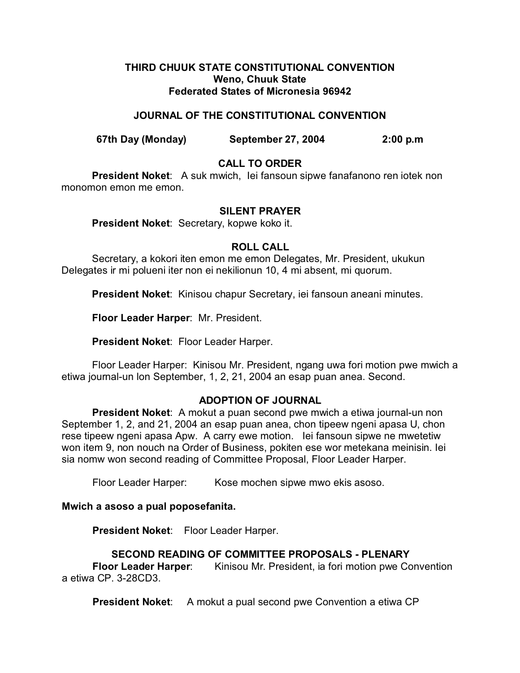#### **THIRD CHUUK STATE CONSTITUTIONAL CONVENTION Weno, Chuuk State Federated States of Micronesia 96942**

### **JOURNAL OF THE CONSTITUTIONAL CONVENTION**

**67th Day (Monday) September 27, 2004 2:00 p.m**

## **CALL TO ORDER**

**President Noket**: A suk mwich, Iei fansoun sipwe fanafanono ren iotek non monomon emon me emon.

#### **SILENT PRAYER**

**President Noket**: Secretary, kopwe koko it.

#### **ROLL CALL**

Secretary, a kokori iten emon me emon Delegates, Mr. President, ukukun Delegates ir mi polueni iter non ei nekilionun 10, 4 mi absent, mi quorum.

**President Noket**: Kinisou chapur Secretary, iei fansoun aneani minutes.

**Floor Leader Harper**: Mr. President.

**President Noket**: Floor Leader Harper.

Floor Leader Harper: Kinisou Mr. President, ngang uwa fori motion pwe mwich a etiwa journal-un lon September, 1, 2, 21, 2004 an esap puan anea. Second.

#### **ADOPTION OF JOURNAL**

**President Noket**: A mokut a puan second pwe mwich a etiwa journal-un non September 1, 2, and 21, 2004 an esap puan anea, chon tipeew ngeni apasa U, chon rese tipeew ngeni apasa Apw. A carry ewe motion. Iei fansoun sipwe ne mwetetiw won item 9, non nouch na Order of Business, pokiten ese wor metekana meinisin. Iei sia nomw won second reading of Committee Proposal, Floor Leader Harper.

Floor Leader Harper: Kose mochen sipwe mwo ekis asoso.

# **Mwich a asoso a pual poposefanita.**

**President Noket**: Floor Leader Harper.

# **SECOND READING OF COMMITTEE PROPOSALS - PLENARY**

**Floor Leader Harper:** Kinisou Mr. President, ia fori motion pwe Convention a etiwa CP. 3-28CD3.

**President Noket:** A mokut a pual second pwe Convention a etiwa CP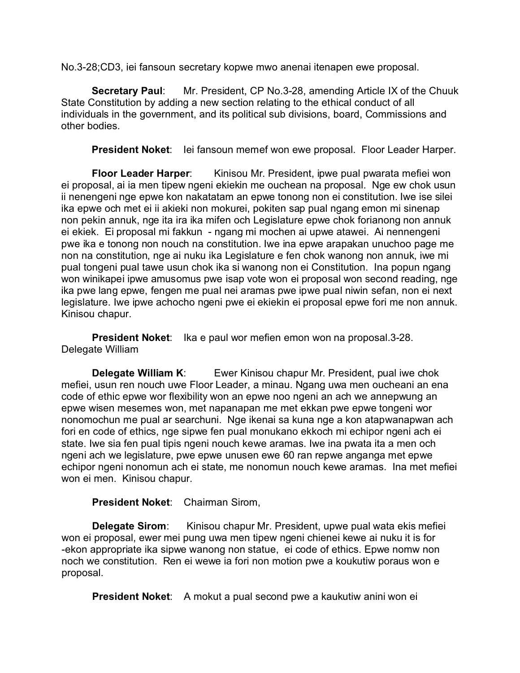No.3-28;CD3, iei fansoun secretary kopwe mwo anenai itenapen ewe proposal.

**Secretary Paul:** Mr. President, CP No.3-28, amending Article IX of the Chuuk State Constitution by adding a new section relating to the ethical conduct of all individuals in the government, and its political sub divisions, board, Commissions and other bodies.

President Noket: lei fansoun memef won ewe proposal. Floor Leader Harper.

**Floor Leader Harper:** Kinisou Mr. President, ipwe pual pwarata mefiei won ei proposal, ai ia men tipew ngeni ekiekin me ouchean na proposal. Nge ew chok usun ii nenengeni nge epwe kon nakatatam an epwe tonong non ei constitution. Iwe ise silei ika epwe och met ei ii akieki non mokurei, pokiten sap pual ngang emon mi sinenap non pekin annuk, nge ita ira ika mifen och Legislature epwe chok forianong non annuk ei ekiek. Ei proposal mi fakkun - ngang mi mochen ai upwe atawei. Ai nennengeni pwe ika e tonong non nouch na constitution. Iwe ina epwe arapakan unuchoo page me non na constitution, nge ai nuku ika Legislature e fen chok wanong non annuk, iwe mi pual tongeni pual tawe usun chok ika si wanong non ei Constitution. Ina popun ngang won winikapei ipwe amusomus pwe isap vote won ei proposal won second reading, nge ika pwe lang epwe, fengen me pual nei aramas pwe ipwe pual niwin sefan, non ei next legislature. Iwe ipwe achocho ngeni pwe ei ekiekin ei proposal epwe fori me non annuk. Kinisou chapur.

**President Noket**: Ika e paul wor mefien emon won na proposal.3-28. Delegate William

**Delegate William K:** Ewer Kinisou chapur Mr. President, pual iwe chok mefiei, usun ren nouch uwe Floor Leader, a minau. Ngang uwa men oucheani an ena code of ethic epwe wor flexibility won an epwe noo ngeni an ach we annepwung an epwe wisen mesemes won, met napanapan me met ekkan pwe epwe tongeni wor nonomochun me pual ar searchuni. Nge ikenai sa kuna nge a kon atapwanapwan ach fori en code of ethics, nge sipwe fen pual monukano ekkoch mi echipor ngeni ach ei state. Iwe sia fen pual tipis ngeni nouch kewe aramas. Iwe ina pwata ita a men och ngeni ach we legislature, pwe epwe unusen ewe 60 ran repwe anganga met epwe echipor ngeni nonomun ach ei state, me nonomun nouch kewe aramas. Ina met mefiei won ei men. Kinisou chapur.

#### **President Noket**: Chairman Sirom,

**Delegate Sirom**: Kinisou chapur Mr. President, upwe pual wata ekis mefiei won ei proposal, ewer mei pung uwa men tipew ngeni chienei kewe ai nuku it is for -ekon appropriate ika sipwe wanong non statue, ei code of ethics. Epwe nomw non noch we constitution. Ren ei wewe ia fori non motion pwe a koukutiw poraus won e proposal.

**President Noket:** A mokut a pual second pwe a kaukutiw anini won ei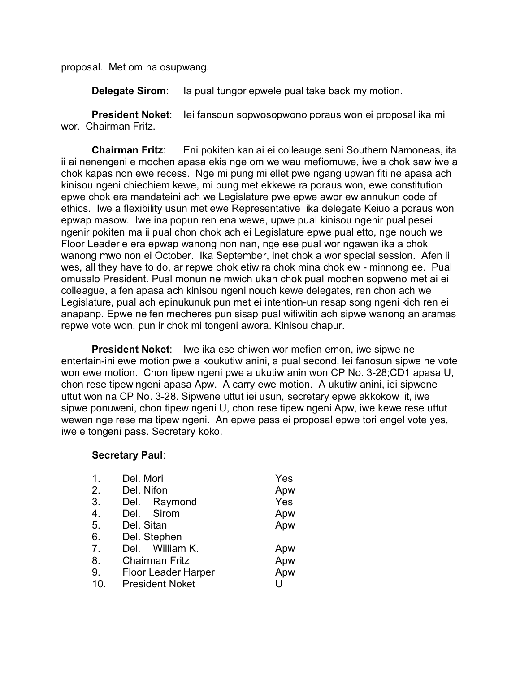proposal. Met om na osupwang.

**Delegate Sirom:** Ia pual tungor epwele pual take back my motion.

**President Noket**: Iei fansoun sopwosopwono poraus won ei proposal ika mi wor. Chairman Fritz.

**Chairman Fritz**: Eni pokiten kan ai ei colleauge seni Southern Namoneas, ita ii ai nenengeni e mochen apasa ekis nge om we wau mefiomuwe, iwe a chok saw iwe a chok kapas non ewe recess. Nge mi pung mi ellet pwe ngang upwan fiti ne apasa ach kinisou ngeni chiechiem kewe, mi pung met ekkewe ra poraus won, ewe constitution epwe chok era mandateini ach we Legislature pwe epwe awor ew annukun code of ethics. Iwe a flexibility usun met ewe Representative ika delegate Keiuo a poraus won epwap masow. Iwe ina popun ren ena wewe, upwe pual kinisou ngenir pual pesei ngenir pokiten ma ii pual chon chok ach ei Legislature epwe pual etto, nge nouch we Floor Leader e era epwap wanong non nan, nge ese pual wor ngawan ika a chok wanong mwo non ei October. Ika September, inet chok a wor special session. Afen ii wes, all they have to do, ar repwe chok etiw ra chok mina chok ew - minnong ee. Pual omusalo President. Pual monun ne mwich ukan chok pual mochen sopweno met ai ei colleague, a fen apasa ach kinisou ngeni nouch kewe delegates, ren chon ach we Legislature, pual ach epinukunuk pun met ei intention-un resap song ngeni kich ren ei anapanp. Epwe ne fen mecheres pun sisap pual witiwitin ach sipwe wanong an aramas repwe vote won, pun ir chok mi tongeni awora. Kinisou chapur.

**President Noket**: Iwe ika ese chiwen wor mefien emon, iwe sipwe ne entertain-ini ewe motion pwe a koukutiw anini, a pual second. Iei fanosun sipwe ne vote won ewe motion. Chon tipew ngeni pwe a ukutiw anin won CP No. 3-28;CD1 apasa U, chon rese tipew ngeni apasa Apw. A carry ewe motion. A ukutiw anini, iei sipwene uttut won na CP No. 3-28. Sipwene uttut iei usun, secretary epwe akkokow iit, iwe sipwe ponuweni, chon tipew ngeni U, chon rese tipew ngeni Apw, iwe kewe rese uttut wewen nge rese ma tipew ngeni. An epwe pass ei proposal epwe tori engel vote yes, iwe e tongeni pass. Secretary koko.

#### **Secretary Paul**:

| $\mathbf 1$ . | Del. Mori                  | Yes |
|---------------|----------------------------|-----|
| 2.            | Del. Nifon                 | Apw |
| 3.            | Del. Raymond               | Yes |
| 4.            | Del. Sirom                 | Apw |
| 5.            | Del. Sitan                 | Apw |
| 6.            | Del. Stephen               |     |
| 7.            | Del. William K.            | Apw |
| 8.            | <b>Chairman Fritz</b>      | Apw |
| 9.            | <b>Floor Leader Harper</b> | Apw |
| 10.           | <b>President Noket</b>     | Ħ   |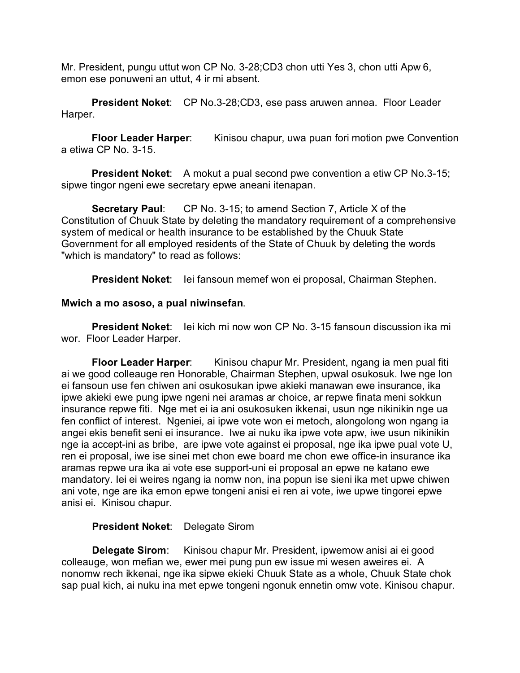Mr. President, pungu uttut won CP No. 3-28;CD3 chon utti Yes 3, chon utti Apw 6, emon ese ponuweni an uttut, 4 ir mi absent.

**President Noket**: CP No.3-28;CD3, ese pass aruwen annea. Floor Leader Harper.

**Floor Leader Harper**: Kinisou chapur, uwa puan fori motion pwe Convention a etiwa CP No. 3-15.

**President Noket:** A mokut a pual second pwe convention a etiw CP No.3-15; sipwe tingor ngeni ewe secretary epwe aneani itenapan.

**Secretary Paul:** CP No. 3-15; to amend Section 7, Article X of the Constitution of Chuuk State by deleting the mandatory requirement of a comprehensive system of medical or health insurance to be established by the Chuuk State Government for all employed residents of the State of Chuuk by deleting the words "which is mandatory" to read as follows:

**President Noket**: Iei fansoun memef won ei proposal, Chairman Stephen.

#### **Mwich a mo asoso, a pual niwinsefan**.

**President Noket**: Iei kich mi now won CP No. 3-15 fansoun discussion ika mi wor. Floor Leader Harper.

**Floor Leader Harper**: Kinisou chapur Mr. President, ngang ia men pual fiti ai we good colleauge ren Honorable, Chairman Stephen, upwal osukosuk. Iwe nge lon ei fansoun use fen chiwen ani osukosukan ipwe akieki manawan ewe insurance, ika ipwe akieki ewe pung ipwe ngeni nei aramas ar choice, ar repwe finata meni sokkun insurance repwe fiti. Nge met ei ia ani osukosuken ikkenai, usun nge nikinikin nge ua fen conflict of interest. Ngeniei, ai ipwe vote won ei metoch, alongolong won ngang ia angei ekis benefit seni ei insurance. Iwe ai nuku ika ipwe vote apw, iwe usun nikinikin nge ia accept-ini as bribe, are ipwe vote against ei proposal, nge ika ipwe pual vote U, ren ei proposal, iwe ise sinei met chon ewe board me chon ewe office-in insurance ika aramas repwe ura ika ai vote ese support-uni ei proposal an epwe ne katano ewe mandatory. Iei ei weires ngang ia nomw non, ina popun ise sieni ika met upwe chiwen ani vote, nge are ika emon epwe tongeni anisi ei ren ai vote, iwe upwe tingorei epwe anisi ei. Kinisou chapur.

### **President Noket**: Delegate Sirom

**Delegate Sirom**: Kinisou chapur Mr. President, ipwemow anisi ai ei good colleauge, won mefian we, ewer mei pung pun ew issue mi wesen aweires ei. A nonomw rech ikkenai, nge ika sipwe ekieki Chuuk State as a whole, Chuuk State chok sap pual kich, ai nuku ina met epwe tongeni ngonuk ennetin omw vote. Kinisou chapur.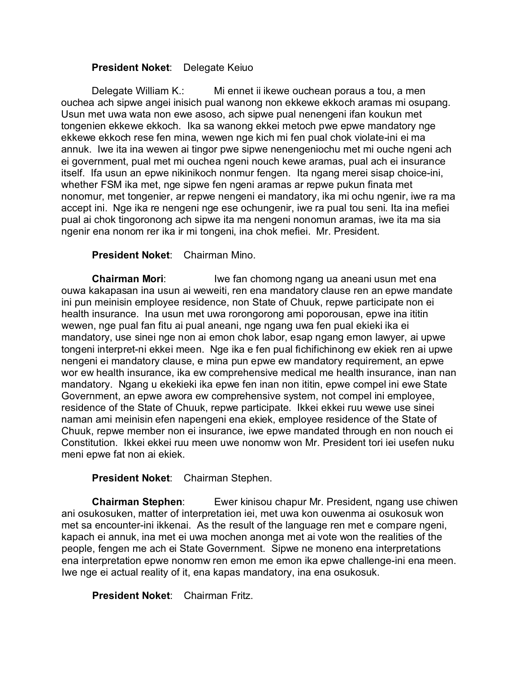### **President Noket**: Delegate Keiuo

Delegate William K.: Mi ennet ii ikewe ouchean poraus a tou, a men ouchea ach sipwe angei inisich pual wanong non ekkewe ekkoch aramas mi osupang. Usun met uwa wata non ewe asoso, ach sipwe pual nenengeni ifan koukun met tongenien ekkewe ekkoch. Ika sa wanong ekkei metoch pwe epwe mandatory nge ekkewe ekkoch rese fen mina, wewen nge kich mi fen pual chok violate-ini ei ma annuk. Iwe ita ina wewen ai tingor pwe sipwe nenengeniochu met mi ouche ngeni ach ei government, pual met mi ouchea ngeni nouch kewe aramas, pual ach ei insurance itself. Ifa usun an epwe nikinikoch nonmur fengen. Ita ngang merei sisap choice-ini, whether FSM ika met, nge sipwe fen ngeni aramas ar repwe pukun finata met nonomur, met tongenier, ar repwe nengeni ei mandatory, ika mi ochu ngenir, iwe ra ma accept ini. Nge ika re nengeni nge ese ochungenir, iwe ra pual tou seni. Ita ina mefiei pual ai chok tingoronong ach sipwe ita ma nengeni nonomun aramas, iwe ita ma sia ngenir ena nonom rer ika ir mi tongeni, ina chok mefiei. Mr. President.

## **President Noket**: Chairman Mino.

**Chairman Mori:** Iwe fan chomong ngang ua aneani usun met ena ouwa kakapasan ina usun ai weweiti, ren ena mandatory clause ren an epwe mandate ini pun meinisin employee residence, non State of Chuuk, repwe participate non ei health insurance. Ina usun met uwa rorongorong ami poporousan, epwe ina ititin wewen, nge pual fan fitu ai pual aneani, nge ngang uwa fen pual ekieki ika ei mandatory, use sinei nge non ai emon chok labor, esap ngang emon lawyer, ai upwe tongeni interpret-ni ekkei meen. Nge ika e fen pual fichifichinong ew ekiek ren ai upwe nengeni ei mandatory clause, e mina pun epwe ew mandatory requirement, an epwe wor ew health insurance, ika ew comprehensive medical me health insurance, inan nan mandatory. Ngang u ekekieki ika epwe fen inan non ititin, epwe compel ini ewe State Government, an epwe awora ew comprehensive system, not compel ini employee, residence of the State of Chuuk, repwe participate. Ikkei ekkei ruu wewe use sinei naman ami meinisin efen napengeni ena ekiek, employee residence of the State of Chuuk, repwe member non ei insurance, iwe epwe mandated through en non nouch ei Constitution. Ikkei ekkei ruu meen uwe nonomw won Mr. President tori iei usefen nuku meni epwe fat non ai ekiek.

#### **President Noket**: Chairman Stephen.

**Chairman Stephen**: Ewer kinisou chapur Mr. President, ngang use chiwen ani osukosuken, matter of interpretation iei, met uwa kon ouwenma ai osukosuk won met sa encounter-ini ikkenai. As the result of the language ren met e compare ngeni, kapach ei annuk, ina met ei uwa mochen anonga met ai vote won the realities of the people, fengen me ach ei State Government. Sipwe ne moneno ena interpretations ena interpretation epwe nonomw ren emon me emon ika epwe challenge-ini ena meen. Iwe nge ei actual reality of it, ena kapas mandatory, ina ena osukosuk.

#### **President Noket**: Chairman Fritz.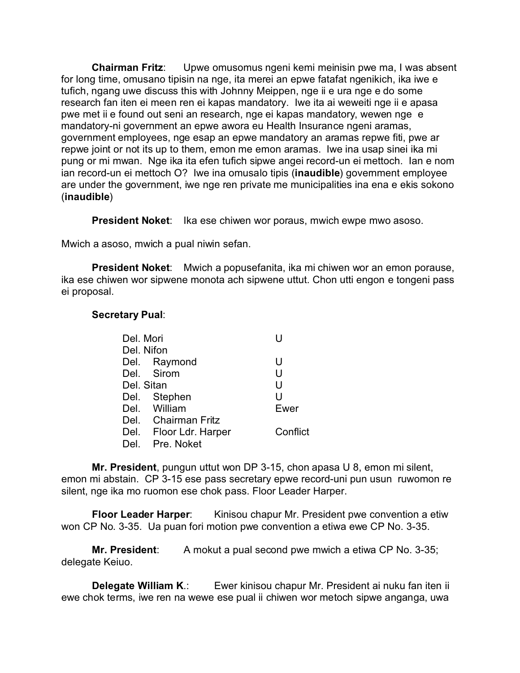**Chairman Fritz**: Upwe omusomus ngeni kemi meinisin pwe ma, I was absent for long time, omusano tipisin na nge, ita merei an epwe fatafat ngenikich, ika iwe e tufich, ngang uwe discuss this with Johnny Meippen, nge ii e ura nge e do some research fan iten ei meen ren ei kapas mandatory. Iwe ita ai weweiti nge ii e apasa pwe met ii e found out seni an research, nge ei kapas mandatory, wewen nge e mandatory-ni government an epwe awora eu Health Insurance ngeni aramas, government employees, nge esap an epwe mandatory an aramas repwe fiti, pwe ar repwe joint or not its up to them, emon me emon aramas. Iwe ina usap sinei ika mi pung or mi mwan. Nge ika ita efen tufich sipwe angei record-un ei mettoch. Ian e nom ian record-un ei mettoch O? Iwe ina omusalo tipis (**inaudible**) government employee are under the government, iwe nge ren private me municipalities ina ena e ekis sokono (**inaudible**)

**President Noket:** Ika ese chiwen wor poraus, mwich ewpe mwo asoso.

Mwich a asoso, mwich a pual niwin sefan.

**President Noket**: Mwich a popusefanita, ika mi chiwen wor an emon porause, ika ese chiwen wor sipwene monota ach sipwene uttut. Chon utti engon e tongeni pass ei proposal.

#### **Secretary Pual**:

| Del. Mori  |                        |          |  |  |
|------------|------------------------|----------|--|--|
| Del. Nifon |                        |          |  |  |
|            | Del. Raymond           | U        |  |  |
|            | Del. Sirom             | U        |  |  |
| Del. Sitan |                        | U        |  |  |
|            | Del. Stephen           | U        |  |  |
|            | Del. William           | Ewer     |  |  |
|            | Del. Chairman Fritz    |          |  |  |
|            | Del. Floor Ldr. Harper | Conflict |  |  |
| Del.       | Pre. Noket             |          |  |  |

**Mr. President**, pungun uttut won DP 3-15, chon apasa U 8, emon mi silent, emon mi abstain. CP 3-15 ese pass secretary epwe record-uni pun usun ruwomon re silent, nge ika mo ruomon ese chok pass. Floor Leader Harper.

**Floor Leader Harper:** Kinisou chapur Mr. President pwe convention a etiw won CP No. 3-35. Ua puan fori motion pwe convention a etiwa ewe CP No. 3-35.

**Mr. President:** A mokut a pual second pwe mwich a etiwa CP No. 3-35; delegate Keiuo.

**Delegate William K**.: Ewer kinisou chapur Mr. President ai nuku fan iten ii ewe chok terms, iwe ren na wewe ese pual ii chiwen wor metoch sipwe anganga, uwa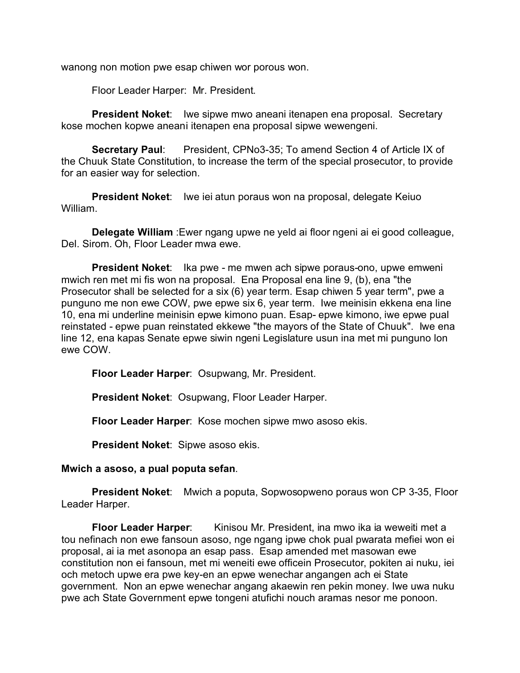wanong non motion pwe esap chiwen wor porous won.

Floor Leader Harper: Mr. President.

**President Noket**: Iwe sipwe mwo aneani itenapen ena proposal. Secretary kose mochen kopwe aneani itenapen ena proposal sipwe wewengeni.

**Secretary Paul**: President, CPNo3-35; To amend Section 4 of Article IX of the Chuuk State Constitution, to increase the term of the special prosecutor, to provide for an easier way for selection.

**President Noket**: Iwe iei atun poraus won na proposal, delegate Keiuo William.

**Delegate William** :Ewer ngang upwe ne yeld ai floor ngeni ai ei good colleague, Del. Sirom. Oh, Floor Leader mwa ewe.

**President Noket**: Ika pwe - me mwen ach sipwe poraus-ono, upwe emweni mwich ren met mi fis won na proposal. Ena Proposal ena line 9, (b), ena "the Prosecutor shall be selected for a six (6) year term. Esap chiwen 5 year term", pwe a punguno me non ewe COW, pwe epwe six 6, year term. Iwe meinisin ekkena ena line 10, ena mi underline meinisin epwe kimono puan. Esap- epwe kimono, iwe epwe pual reinstated - epwe puan reinstated ekkewe "the mayors of the State of Chuuk". Iwe ena line 12, ena kapas Senate epwe siwin ngeni Legislature usun ina met mi punguno lon ewe COW.

**Floor Leader Harper**: Osupwang, Mr. President.

**President Noket**: Osupwang, Floor Leader Harper.

**Floor Leader Harper**: Kose mochen sipwe mwo asoso ekis.

**President Noket**: Sipwe asoso ekis.

#### **Mwich a asoso, a pual poputa sefan**.

**President Noket**: Mwich a poputa, Sopwosopweno poraus won CP 3-35, Floor Leader Harper.

**Floor Leader Harper:** Kinisou Mr. President, ina mwo ika ia weweiti met a tou nefinach non ewe fansoun asoso, nge ngang ipwe chok pual pwarata mefiei won ei proposal, ai ia met asonopa an esap pass. Esap amended met masowan ewe constitution non ei fansoun, met mi weneiti ewe officein Prosecutor, pokiten ai nuku, iei och metoch upwe era pwe key-en an epwe wenechar angangen ach ei State government. Non an epwe wenechar angang akaewin ren pekin money. Iwe uwa nuku pwe ach State Government epwe tongeni atufichi nouch aramas nesor me ponoon.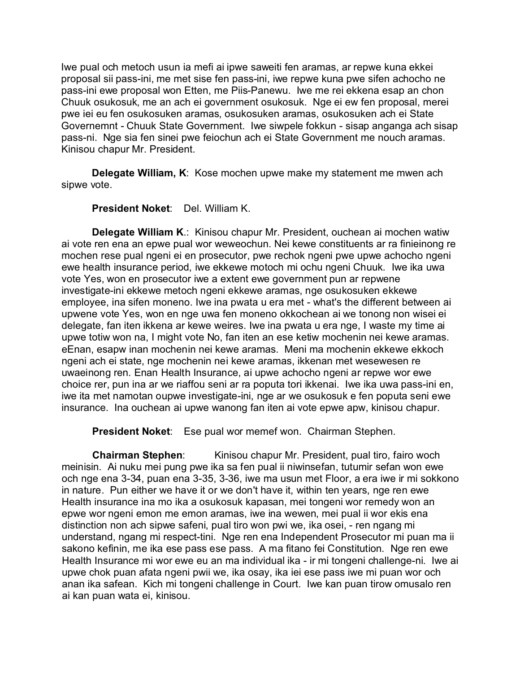Iwe pual och metoch usun ia mefi ai ipwe saweiti fen aramas, ar repwe kuna ekkei proposal sii pass-ini, me met sise fen pass-ini, iwe repwe kuna pwe sifen achocho ne pass-ini ewe proposal won Etten, me Piis-Panewu. Iwe me rei ekkena esap an chon Chuuk osukosuk, me an ach ei government osukosuk. Nge ei ew fen proposal, merei pwe iei eu fen osukosuken aramas, osukosuken aramas, osukosuken ach ei State Governemnt - Chuuk State Government. Iwe siwpele fokkun - sisap anganga ach sisap pass-ni. Nge sia fen sinei pwe feiochun ach ei State Government me nouch aramas. Kinisou chapur Mr. President.

**Delegate William, K**: Kose mochen upwe make my statement me mwen ach sipwe vote.

**President Noket**: Del. William K.

**Delegate William K**.: Kinisou chapur Mr. President, ouchean ai mochen watiw ai vote ren ena an epwe pual wor weweochun. Nei kewe constituents ar ra finieinong re mochen rese pual ngeni ei en prosecutor, pwe rechok ngeni pwe upwe achocho ngeni ewe health insurance period, iwe ekkewe motoch mi ochu ngeni Chuuk. Iwe ika uwa vote Yes, won en prosecutor iwe a extent ewe government pun ar repwene investigate-ini ekkewe metoch ngeni ekkewe aramas, nge osukosuken ekkewe employee, ina sifen moneno. Iwe ina pwata u era met - what's the different between ai upwene vote Yes, won en nge uwa fen moneno okkochean ai we tonong non wisei ei delegate, fan iten ikkena ar kewe weires. Iwe ina pwata u era nge, I waste my time ai upwe totiw won na, I might vote No, fan iten an ese ketiw mochenin nei kewe aramas. eEnan, esapw inan mochenin nei kewe aramas. Meni ma mochenin ekkewe ekkoch ngeni ach ei state, nge mochenin nei kewe aramas, ikkenan met wesewesen re uwaeinong ren. Enan Health Insurance, ai upwe achocho ngeni ar repwe wor ewe choice rer, pun ina ar we riaffou seni ar ra poputa tori ikkenai. Iwe ika uwa pass-ini en, iwe ita met namotan oupwe investigate-ini, nge ar we osukosuk e fen poputa seni ewe insurance. Ina ouchean ai upwe wanong fan iten ai vote epwe apw, kinisou chapur.

**President Noket**: Ese pual wor memef won. Chairman Stephen.

**Chairman Stephen:** Kinisou chapur Mr. President, pual tiro, fairo woch meinisin. Ai nuku mei pung pwe ika sa fen pual ii niwinsefan, tutumir sefan won ewe och nge ena 3-34, puan ena 3-35, 3-36, iwe ma usun met Floor, a era iwe ir mi sokkono in nature. Pun either we have it or we don't have it, within ten years, nge ren ewe Health insurance ina mo ika a osukosuk kapasan, mei tongeni wor remedy won an epwe wor ngeni emon me emon aramas, iwe ina wewen, mei pual ii wor ekis ena distinction non ach sipwe safeni, pual tiro won pwi we, ika osei, - ren ngang mi understand, ngang mi respect-tini. Nge ren ena Independent Prosecutor mi puan ma ii sakono kefinin, me ika ese pass ese pass. A ma fitano fei Constitution. Nge ren ewe Health Insurance mi wor ewe eu an ma individual ika - ir mi tongeni challenge-ni. Iwe ai upwe chok puan afata ngeni pwii we, ika osay, ika iei ese pass iwe mi puan wor och anan ika safean. Kich mi tongeni challenge in Court. Iwe kan puan tirow omusalo ren ai kan puan wata ei, kinisou.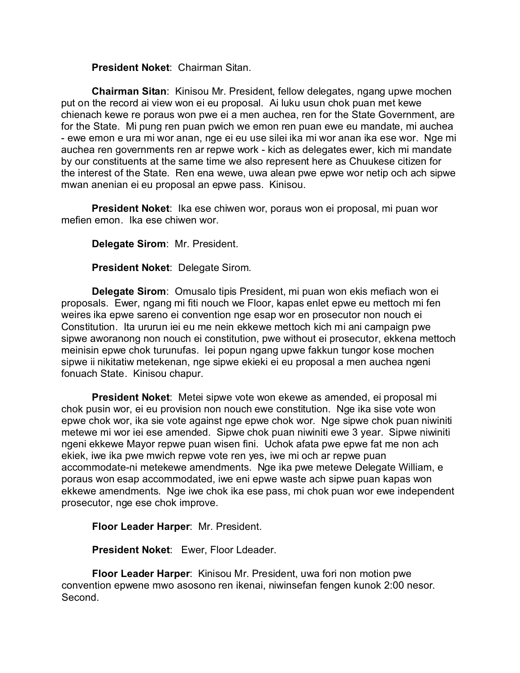**President Noket**: Chairman Sitan.

**Chairman Sitan**: Kinisou Mr. President, fellow delegates, ngang upwe mochen put on the record ai view won ei eu proposal. Ai luku usun chok puan met kewe chienach kewe re poraus won pwe ei a men auchea, ren for the State Government, are for the State. Mi pung ren puan pwich we emon ren puan ewe eu mandate, mi auchea - ewe emon e ura mi wor anan, nge ei eu use silei ika mi wor anan ika ese wor. Nge mi auchea ren governments ren ar repwe work - kich as delegates ewer, kich mi mandate by our constituents at the same time we also represent here as Chuukese citizen for the interest of the State. Ren ena wewe, uwa alean pwe epwe wor netip och ach sipwe mwan anenian ei eu proposal an epwe pass. Kinisou.

**President Noket**: Ika ese chiwen wor, poraus won ei proposal, mi puan wor mefien emon. Ika ese chiwen wor.

**Delegate Sirom**: Mr. President.

**President Noket**: Delegate Sirom.

**Delegate Sirom**: Omusalo tipis President, mi puan won ekis mefiach won ei proposals. Ewer, ngang mi fiti nouch we Floor, kapas enlet epwe eu mettoch mi fen weires ika epwe sareno ei convention nge esap wor en prosecutor non nouch ei Constitution. Ita ururun iei eu me nein ekkewe mettoch kich mi ani campaign pwe sipwe aworanong non nouch ei constitution, pwe without ei prosecutor, ekkena mettoch meinisin epwe chok turunufas. Iei popun ngang upwe fakkun tungor kose mochen sipwe ii nikitatiw metekenan, nge sipwe ekieki ei eu proposal a men auchea ngeni fonuach State. Kinisou chapur.

**President Noket**: Metei sipwe vote won ekewe as amended, ei proposal mi chok pusin wor, ei eu provision non nouch ewe constitution. Nge ika sise vote won epwe chok wor, ika sie vote against nge epwe chok wor. Nge sipwe chok puan niwiniti metewe mi wor iei ese amended. Sipwe chok puan niwiniti ewe 3 year. Sipwe niwiniti ngeni ekkewe Mayor repwe puan wisen fini. Uchok afata pwe epwe fat me non ach ekiek, iwe ika pwe mwich repwe vote ren yes, iwe mi och ar repwe puan accommodate-ni metekewe amendments. Nge ika pwe metewe Delegate William, e poraus won esap accommodated, iwe eni epwe waste ach sipwe puan kapas won ekkewe amendments. Nge iwe chok ika ese pass, mi chok puan wor ewe independent prosecutor, nge ese chok improve.

**Floor Leader Harper**: Mr. President.

**President Noket**: Ewer, Floor Ldeader.

**Floor Leader Harper**: Kinisou Mr. President, uwa fori non motion pwe convention epwene mwo asosono ren ikenai, niwinsefan fengen kunok 2:00 nesor. Second.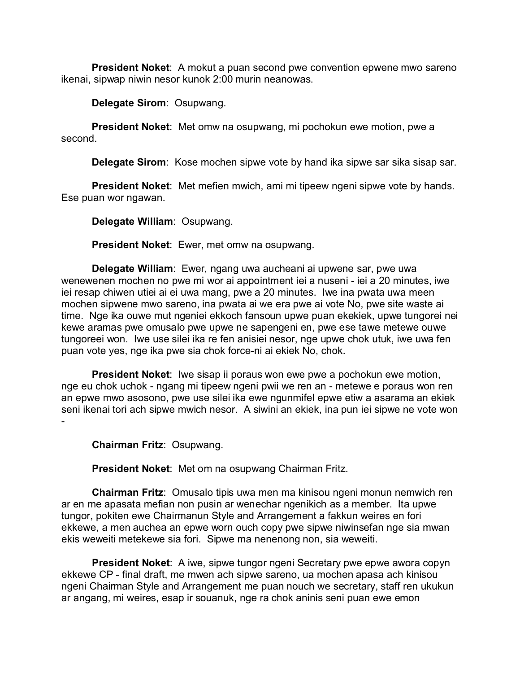**President Noket**: A mokut a puan second pwe convention epwene mwo sareno ikenai, sipwap niwin nesor kunok 2:00 murin neanowas.

**Delegate Sirom**: Osupwang.

**President Noket**: Met omw na osupwang, mi pochokun ewe motion, pwe a second.

**Delegate Sirom**: Kose mochen sipwe vote by hand ika sipwe sar sika sisap sar.

**President Noket**: Met mefien mwich, ami mi tipeew ngeni sipwe vote by hands. Ese puan wor ngawan.

**Delegate William**: Osupwang.

**President Noket**: Ewer, met omw na osupwang.

**Delegate William**: Ewer, ngang uwa aucheani ai upwene sar, pwe uwa wenewenen mochen no pwe mi wor ai appointment iei a nuseni - iei a 20 minutes, iwe iei resap chiwen utiei ai ei uwa mang, pwe a 20 minutes. Iwe ina pwata uwa meen mochen sipwene mwo sareno, ina pwata ai we era pwe ai vote No, pwe site waste ai time. Nge ika ouwe mut ngeniei ekkoch fansoun upwe puan ekekiek, upwe tungorei nei kewe aramas pwe omusalo pwe upwe ne sapengeni en, pwe ese tawe metewe ouwe tungoreei won. Iwe use silei ika re fen anisiei nesor, nge upwe chok utuk, iwe uwa fen puan vote yes, nge ika pwe sia chok force-ni ai ekiek No, chok.

**President Noket**: Iwe sisap ii poraus won ewe pwe a pochokun ewe motion, nge eu chok uchok - ngang mi tipeew ngeni pwii we ren an - metewe e poraus won ren an epwe mwo asosono, pwe use silei ika ewe ngunmifel epwe etiw a asarama an ekiek seni ikenai tori ach sipwe mwich nesor. A siwini an ekiek, ina pun iei sipwe ne vote won -

**Chairman Fritz**: Osupwang.

**President Noket**: Met om na osupwang Chairman Fritz.

**Chairman Fritz**: Omusalo tipis uwa men ma kinisou ngeni monun nemwich ren ar en me apasata mefian non pusin ar wenechar ngenikich as a member. Ita upwe tungor, pokiten ewe Chairmanun Style and Arrangement a fakkun weires en fori ekkewe, a men auchea an epwe worn ouch copy pwe sipwe niwinsefan nge sia mwan ekis weweiti metekewe sia fori. Sipwe ma nenenong non, sia weweiti.

**President Noket**: A iwe, sipwe tungor ngeni Secretary pwe epwe awora copyn ekkewe CP - final draft, me mwen ach sipwe sareno, ua mochen apasa ach kinisou ngeni Chairman Style and Arrangement me puan nouch we secretary, staff ren ukukun ar angang, mi weires, esap ir souanuk, nge ra chok aninis seni puan ewe emon